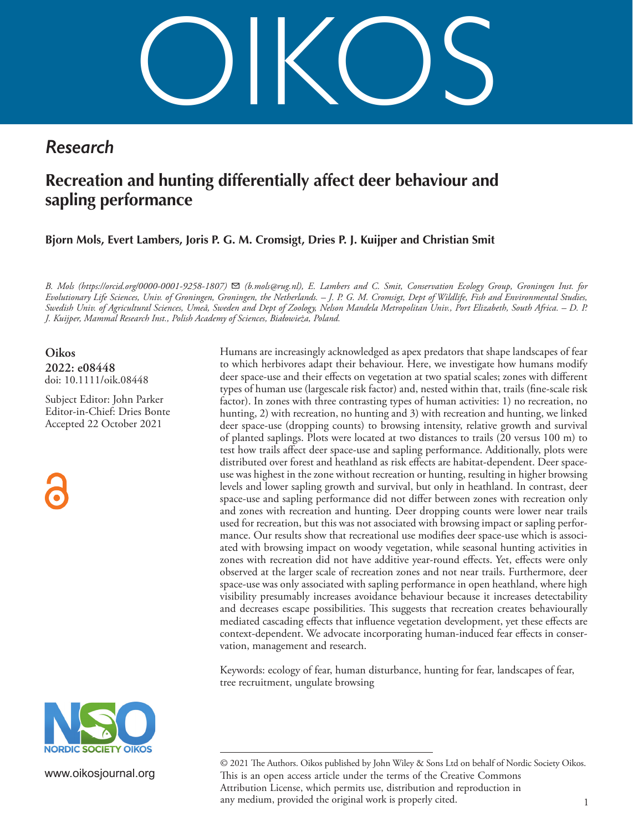OIKOS

# *Research*

# **Recreation and hunting differentially affect deer behaviour and sapling performance**

**Bjorn Mols, Evert Lambers, Joris P. G. M. Cromsigt, Dries P. J. Kuijper and Christian Smit**

*B. Mols (https://orcid.org/0000-0001-9258-1807)* ✉ *(b.mols@rug.nl), E. Lambers and C. Smit, Conservation Ecology Group, Groningen Inst. for Evolutionary Life Sciences, Univ. of Groningen, Groningen, the Netherlands. – J. P. G. M. Cromsigt, Dept of Wildlife, Fish and Environmental Studies, Swedish Univ. of Agricultural Sciences, Umeå, Sweden and Dept of Zoology, Nelson Mandela Metropolitan Univ., Port Elizabeth, South Africa. – D. P. J. Kuijper, Mammal Research Inst., Polish Academy of Sciences, Białowieża, Poland.*

**Oikos 2022: e08448** doi: 10.1111/oik.08448

Subject Editor: John Parker Editor-in-Chief: Dries Bonte Accepted 22 October 2021



Humans are increasingly acknowledged as apex predators that shape landscapes of fear to which herbivores adapt their behaviour. Here, we investigate how humans modify deer space-use and their effects on vegetation at two spatial scales; zones with different types of human use (largescale risk factor) and, nested within that, trails (fine-scale risk factor). In zones with three contrasting types of human activities: 1) no recreation, no hunting, 2) with recreation, no hunting and 3) with recreation and hunting, we linked deer space-use (dropping counts) to browsing intensity, relative growth and survival of planted saplings. Plots were located at two distances to trails (20 versus 100 m) to test how trails affect deer space-use and sapling performance. Additionally, plots were distributed over forest and heathland as risk effects are habitat-dependent. Deer spaceuse was highest in the zone without recreation or hunting, resulting in higher browsing levels and lower sapling growth and survival, but only in heathland. In contrast, deer space-use and sapling performance did not differ between zones with recreation only and zones with recreation and hunting. Deer dropping counts were lower near trails used for recreation, but this was not associated with browsing impact or sapling performance. Our results show that recreational use modifies deer space-use which is associated with browsing impact on woody vegetation, while seasonal hunting activities in zones with recreation did not have additive year-round effects. Yet, effects were only observed at the larger scale of recreation zones and not near trails. Furthermore, deer space-use was only associated with sapling performance in open heathland, where high visibility presumably increases avoidance behaviour because it increases detectability and decreases escape possibilities. This suggests that recreation creates behaviourally mediated cascading effects that influence vegetation development, yet these effects are context-dependent. We advocate incorporating human-induced fear effects in conservation, management and research.

Keywords: ecology of fear, human disturbance, hunting for fear, landscapes of fear, tree recruitment, ungulate browsing



www.oikosjournal.org

<sup>1</sup> © 2021 The Authors. Oikos published by John Wiley & Sons Ltd on behalf of Nordic Society Oikos. This is an open access article under the terms of the Creative Commons Attribution License, which permits use, distribution and reproduction in any medium, provided the original work is properly cited.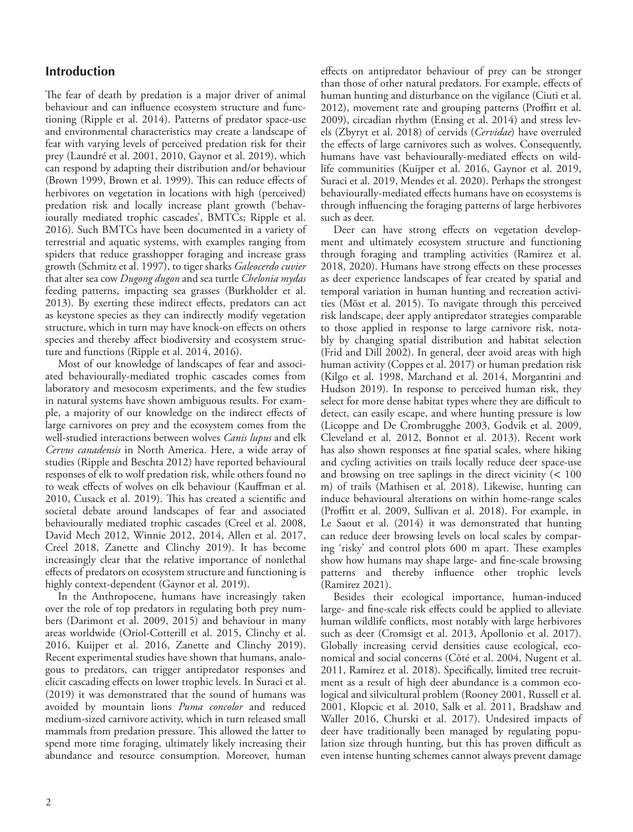# **Introduction**

The fear of death by predation is a major driver of animal behaviour and can influence ecosystem structure and functioning (Ripple et al. 2014). Patterns of predator space-use and environmental characteristics may create a landscape of fear with varying levels of perceived predation risk for their prey (Laundré et al. 2001, 2010, Gaynor et al. 2019), which can respond by adapting their distribution and/or behaviour (Brown 1999, Brown et al. 1999). This can reduce effects of herbivores on vegetation in locations with high (perceived) predation risk and locally increase plant growth ('behaviourally mediated trophic cascades', BMTCs; Ripple et al. 2016). Such BMTCs have been documented in a variety of terrestrial and aquatic systems, with examples ranging from spiders that reduce grasshopper foraging and increase grass growth (Schmitz et al. 1997), to tiger sharks *Galeocerdo cuvier* that alter sea cow *Dugong dugon* and sea turtle *Chelonia mydas* feeding patterns, impacting sea grasses (Burkholder et al. 2013). By exerting these indirect effects, predators can act as keystone species as they can indirectly modify vegetation structure, which in turn may have knock-on effects on others species and thereby affect biodiversity and ecosystem structure and functions (Ripple et al. 2014, 2016).

Most of our knowledge of landscapes of fear and associated behaviourally-mediated trophic cascades comes from laboratory and mesocosm experiments, and the few studies in natural systems have shown ambiguous results. For example, a majority of our knowledge on the indirect effects of large carnivores on prey and the ecosystem comes from the well-studied interactions between wolves *Canis lupus* and elk *Cervus canadensis* in North America. Here, a wide array of studies (Ripple and Beschta 2012) have reported behavioural responses of elk to wolf predation risk, while others found no to weak effects of wolves on elk behaviour (Kauffman et al. 2010, Cusack et al. 2019). This has created a scientific and societal debate around landscapes of fear and associated behaviourally mediated trophic cascades (Creel et al. 2008, David Mech 2012, Winnie 2012, 2014, Allen et al. 2017, Creel 2018, Zanette and Clinchy 2019). It has become increasingly clear that the relative importance of nonlethal effects of predators on ecosystem structure and functioning is highly context-dependent (Gaynor et al. 2019).

In the Anthropocene, humans have increasingly taken over the role of top predators in regulating both prey numbers (Darimont et al. 2009, 2015) and behaviour in many areas worldwide (Oriol-Cotterill et al. 2015, Clinchy et al. 2016, Kuijper et al. 2016, Zanette and Clinchy 2019). Recent experimental studies have shown that humans, analogous to predators, can trigger antipredator responses and elicit cascading effects on lower trophic levels. In Suraci et al. (2019) it was demonstrated that the sound of humans was avoided by mountain lions *Puma concolor* and reduced medium-sized carnivore activity, which in turn released small mammals from predation pressure. This allowed the latter to spend more time foraging, ultimately likely increasing their abundance and resource consumption. Moreover, human

effects on antipredator behaviour of prey can be stronger than those of other natural predators. For example, effects of human hunting and disturbance on the vigilance (Ciuti et al. 2012), movement rate and grouping patterns (Proffitt et al. 2009), circadian rhythm (Ensing et al. 2014) and stress levels (Zbyryt et al. 2018) of cervids (*Cervidae*) have overruled the effects of large carnivores such as wolves. Consequently, humans have vast behaviourally-mediated effects on wildlife communities (Kuijper et al. 2016, Gaynor et al. 2019, Suraci et al. 2019, Mendes et al. 2020). Perhaps the strongest behaviourally-mediated effects humans have on ecosystems is through influencing the foraging patterns of large herbivores such as deer.

Deer can have strong effects on vegetation development and ultimately ecosystem structure and functioning through foraging and trampling activities (Ramirez et al. 2018, 2020). Humans have strong effects on these processes as deer experience landscapes of fear created by spatial and temporal variation in human hunting and recreation activities (Möst et al. 2015). To navigate through this perceived risk landscape, deer apply antipredator strategies comparable to those applied in response to large carnivore risk, notably by changing spatial distribution and habitat selection (Frid and Dill 2002). In general, deer avoid areas with high human activity (Coppes et al. 2017) or human predation risk (Kilgo et al. 1998, Marchand et al. 2014, Morgantini and Hudson 2019). In response to perceived human risk, they select for more dense habitat types where they are difficult to detect, can easily escape, and where hunting pressure is low (Licoppe and De Crombrugghe 2003, Godvik et al. 2009, Cleveland et al. 2012, Bonnot et al. 2013). Recent work has also shown responses at fine spatial scales, where hiking and cycling activities on trails locally reduce deer space-use and browsing on tree saplings in the direct vicinity  $(< 100$ m) of trails (Mathisen et al. 2018). Likewise, hunting can induce behavioural alterations on within home-range scales (Proffitt et al. 2009, Sullivan et al. 2018). For example, in Le Saout et al. (2014) it was demonstrated that hunting can reduce deer browsing levels on local scales by comparing 'risky' and control plots 600 m apart. These examples show how humans may shape large- and fine-scale browsing patterns and thereby influence other trophic levels (Ramirez 2021).

Besides their ecological importance, human-induced large- and fine-scale risk effects could be applied to alleviate human wildlife conflicts, most notably with large herbivores such as deer (Cromsigt et al. 2013, Apollonio et al. 2017). Globally increasing cervid densities cause ecological, economical and social concerns (Côté et al. 2004, Nugent et al. 2011, Ramirez et al. 2018). Specifically, limited tree recruitment as a result of high deer abundance is a common ecological and silvicultural problem (Rooney 2001, Russell et al. 2001, Klopcic et al. 2010, Salk et al. 2011, Bradshaw and Waller 2016, Churski et al. 2017). Undesired impacts of deer have traditionally been managed by regulating population size through hunting, but this has proven difficult as even intense hunting schemes cannot always prevent damage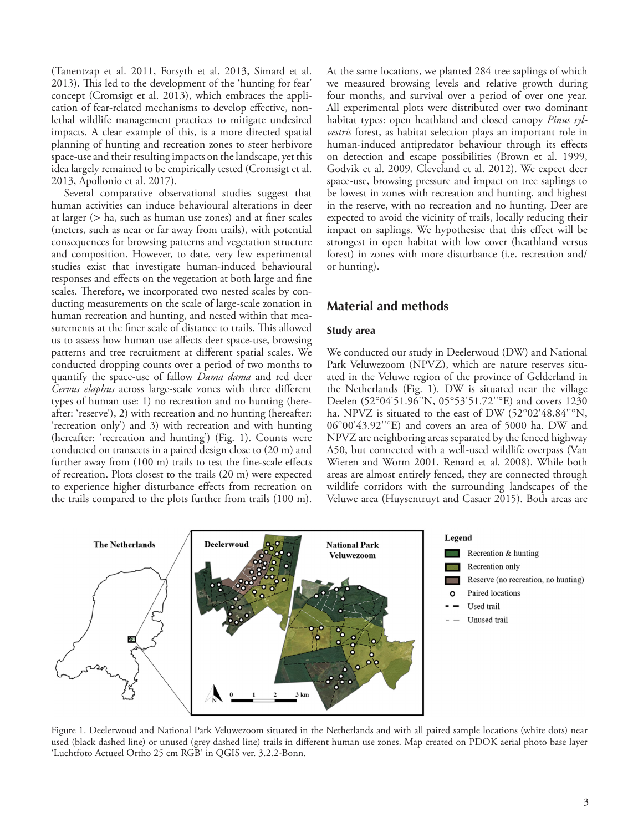(Tanentzap et al. 2011, Forsyth et al. 2013, Simard et al. 2013). This led to the development of the 'hunting for fear' concept (Cromsigt et al. 2013), which embraces the application of fear-related mechanisms to develop effective, nonlethal wildlife management practices to mitigate undesired impacts. A clear example of this, is a more directed spatial planning of hunting and recreation zones to steer herbivore space-use and their resulting impacts on the landscape, yet this idea largely remained to be empirically tested (Cromsigt et al. 2013, Apollonio et al. 2017).

Several comparative observational studies suggest that human activities can induce behavioural alterations in deer at larger (> ha, such as human use zones) and at finer scales (meters, such as near or far away from trails), with potential consequences for browsing patterns and vegetation structure and composition. However, to date, very few experimental studies exist that investigate human-induced behavioural responses and effects on the vegetation at both large and fine scales. Therefore, we incorporated two nested scales by conducting measurements on the scale of large-scale zonation in human recreation and hunting, and nested within that measurements at the finer scale of distance to trails. This allowed us to assess how human use affects deer space-use, browsing patterns and tree recruitment at different spatial scales. We conducted dropping counts over a period of two months to quantify the space-use of fallow *Dama dama* and red deer *Cervus elaphus* across large-scale zones with three different types of human use: 1) no recreation and no hunting (hereafter: 'reserve'), 2) with recreation and no hunting (hereafter: 'recreation only') and 3) with recreation and with hunting (hereafter: 'recreation and hunting') (Fig. 1). Counts were conducted on transects in a paired design close to (20 m) and further away from (100 m) trails to test the fine-scale effects of recreation. Plots closest to the trails (20 m) were expected to experience higher disturbance effects from recreation on the trails compared to the plots further from trails (100 m).

At the same locations, we planted 284 tree saplings of which we measured browsing levels and relative growth during four months, and survival over a period of over one year. All experimental plots were distributed over two dominant habitat types: open heathland and closed canopy *Pinus sylvestris* forest, as habitat selection plays an important role in human-induced antipredator behaviour through its effects on detection and escape possibilities (Brown et al. 1999, Godvik et al. 2009, Cleveland et al. 2012). We expect deer space-use, browsing pressure and impact on tree saplings to be lowest in zones with recreation and hunting, and highest in the reserve, with no recreation and no hunting. Deer are expected to avoid the vicinity of trails, locally reducing their impact on saplings. We hypothesise that this effect will be strongest in open habitat with low cover (heathland versus forest) in zones with more disturbance (i.e. recreation and/ or hunting).

# **Material and methods**

#### **Study area**

We conducted our study in Deelerwoud (DW) and National Park Veluwezoom (NPVZ), which are nature reserves situated in the Veluwe region of the province of Gelderland in the Netherlands (Fig. 1). DW is situated near the village Deelen (52°04'51.96''N, 05°53'51.72''°E) and covers 1230 ha. NPVZ is situated to the east of DW (52°02'48.84''°N, 06°00'43.92''°E) and covers an area of 5000 ha. DW and NPVZ are neighboring areas separated by the fenced highway A50, but connected with a well-used wildlife overpass (Van Wieren and Worm 2001, Renard et al. 2008). While both areas are almost entirely fenced, they are connected through wildlife corridors with the surrounding landscapes of the Veluwe area (Huysentruyt and Casaer 2015). Both areas are



Figure 1. Deelerwoud and National Park Veluwezoom situated in the Netherlands and with all paired sample locations (white dots) near used (black dashed line) or unused (grey dashed line) trails in different human use zones. Map created on PDOK aerial photo base layer 'Luchtfoto Actueel Ortho 25 cm RGB' in QGIS ver. 3.2.2-Bonn.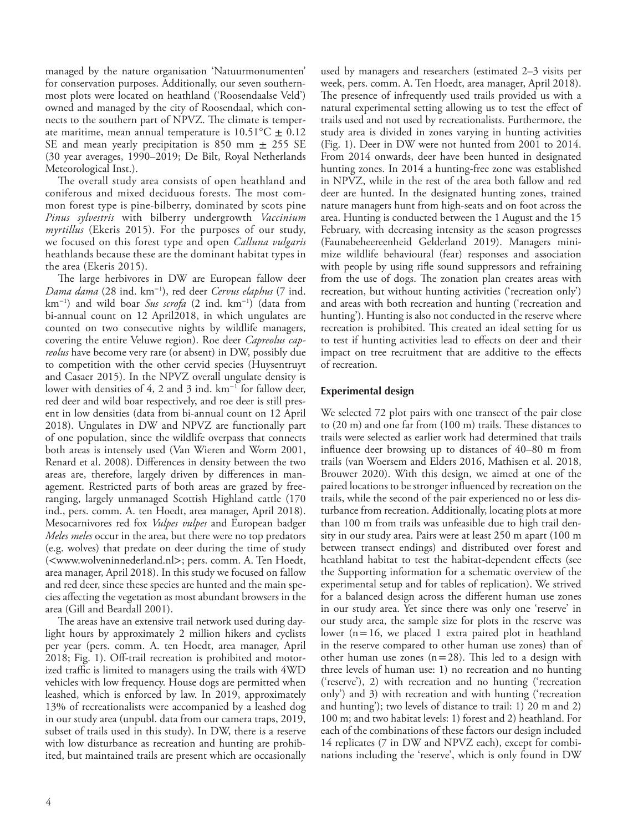managed by the nature organisation 'Natuurmonumenten' for conservation purposes. Additionally, our seven southernmost plots were located on heathland ('Roosendaalse Veld') owned and managed by the city of Roosendaal, which connects to the southern part of NPVZ. The climate is temperate maritime, mean annual temperature is  $10.51^{\circ}\text{C} \pm 0.12$ SE and mean yearly precipitation is 850 mm  $\pm$  255 SE (30 year averages, 1990–2019; De Bilt, Royal Netherlands Meteorological Inst.).

The overall study area consists of open heathland and coniferous and mixed deciduous forests. The most common forest type is pine-bilberry, dominated by scots pine *Pinus sylvestris* with bilberry undergrowth *Vaccinium myrtillus* (Ekeris 2015). For the purposes of our study, we focused on this forest type and open *Calluna vulgaris* heathlands because these are the dominant habitat types in the area (Ekeris 2015).

The large herbivores in DW are European fallow deer *Dama dama* (28 ind. km<sup>−</sup><sup>1</sup> ), red deer *Cervus elaphus* (7 ind. km<sup>−</sup><sup>1</sup> ) and wild boar *Sus scrofa* (2 ind. km<sup>−</sup><sup>1</sup> ) (data from bi-annual count on 12 April2018, in which ungulates are counted on two consecutive nights by wildlife managers, covering the entire Veluwe region). Roe deer *Capreolus capreolus* have become very rare (or absent) in DW, possibly due to competition with the other cervid species (Huysentruyt and Casaer 2015). In the NPVZ overall ungulate density is lower with densities of 4, 2 and 3 ind. km<sup>−</sup><sup>1</sup> for fallow deer, red deer and wild boar respectively, and roe deer is still present in low densities (data from bi-annual count on 12 April 2018). Ungulates in DW and NPVZ are functionally part of one population, since the wildlife overpass that connects both areas is intensely used (Van Wieren and Worm 2001, Renard et al. 2008). Differences in density between the two areas are, therefore, largely driven by differences in management. Restricted parts of both areas are grazed by freeranging, largely unmanaged Scottish Highland cattle (170 ind., pers. comm. A. ten Hoedt, area manager, April 2018). Mesocarnivores red fox *Vulpes vulpes* and European badger *Meles meles* occur in the area, but there were no top predators (e.g. wolves) that predate on deer during the time of study (<www.wolveninnederland.nl>; pers. comm. A. Ten Hoedt, area manager, April 2018). In this study we focused on fallow and red deer, since these species are hunted and the main species affecting the vegetation as most abundant browsers in the area (Gill and Beardall 2001).

The areas have an extensive trail network used during daylight hours by approximately 2 million hikers and cyclists per year (pers. comm. A. ten Hoedt, area manager, April 2018; Fig. 1). Off-trail recreation is prohibited and motorized traffic is limited to managers using the trails with 4WD vehicles with low frequency. House dogs are permitted when leashed, which is enforced by law. In 2019, approximately 13% of recreationalists were accompanied by a leashed dog in our study area (unpubl. data from our camera traps, 2019, subset of trails used in this study). In DW, there is a reserve with low disturbance as recreation and hunting are prohibited, but maintained trails are present which are occasionally used by managers and researchers (estimated 2–3 visits per week, pers. comm. A. Ten Hoedt, area manager, April 2018). The presence of infrequently used trails provided us with a natural experimental setting allowing us to test the effect of trails used and not used by recreationalists. Furthermore, the study area is divided in zones varying in hunting activities (Fig. 1). Deer in DW were not hunted from 2001 to 2014. From 2014 onwards, deer have been hunted in designated hunting zones. In 2014 a hunting-free zone was established in NPVZ, while in the rest of the area both fallow and red deer are hunted. In the designated hunting zones, trained nature managers hunt from high-seats and on foot across the area. Hunting is conducted between the 1 August and the 15 February, with decreasing intensity as the season progresses (Faunabeheereenheid Gelderland 2019). Managers minimize wildlife behavioural (fear) responses and association with people by using rifle sound suppressors and refraining from the use of dogs. The zonation plan creates areas with recreation, but without hunting activities ('recreation only') and areas with both recreation and hunting ('recreation and hunting'). Hunting is also not conducted in the reserve where recreation is prohibited. This created an ideal setting for us to test if hunting activities lead to effects on deer and their impact on tree recruitment that are additive to the effects of recreation.

## **Experimental design**

We selected 72 plot pairs with one transect of the pair close to (20 m) and one far from (100 m) trails. These distances to trails were selected as earlier work had determined that trails influence deer browsing up to distances of 40–80 m from trails (van Woersem and Elders 2016, Mathisen et al. 2018, Brouwer 2020). With this design, we aimed at one of the paired locations to be stronger influenced by recreation on the trails, while the second of the pair experienced no or less disturbance from recreation. Additionally, locating plots at more than 100 m from trails was unfeasible due to high trail density in our study area. Pairs were at least 250 m apart (100 m between transect endings) and distributed over forest and heathland habitat to test the habitat-dependent effects (see the Supporting information for a schematic overview of the experimental setup and for tables of replication). We strived for a balanced design across the different human use zones in our study area. Yet since there was only one 'reserve' in our study area, the sample size for plots in the reserve was lower (n=16, we placed 1 extra paired plot in heathland in the reserve compared to other human use zones) than of other human use zones  $(n=28)$ . This led to a design with three levels of human use: 1) no recreation and no hunting ('reserve'), 2) with recreation and no hunting ('recreation only') and 3) with recreation and with hunting ('recreation and hunting'); two levels of distance to trail: 1) 20 m and 2) 100 m; and two habitat levels: 1) forest and 2) heathland. For each of the combinations of these factors our design included 14 replicates (7 in DW and NPVZ each), except for combinations including the 'reserve', which is only found in DW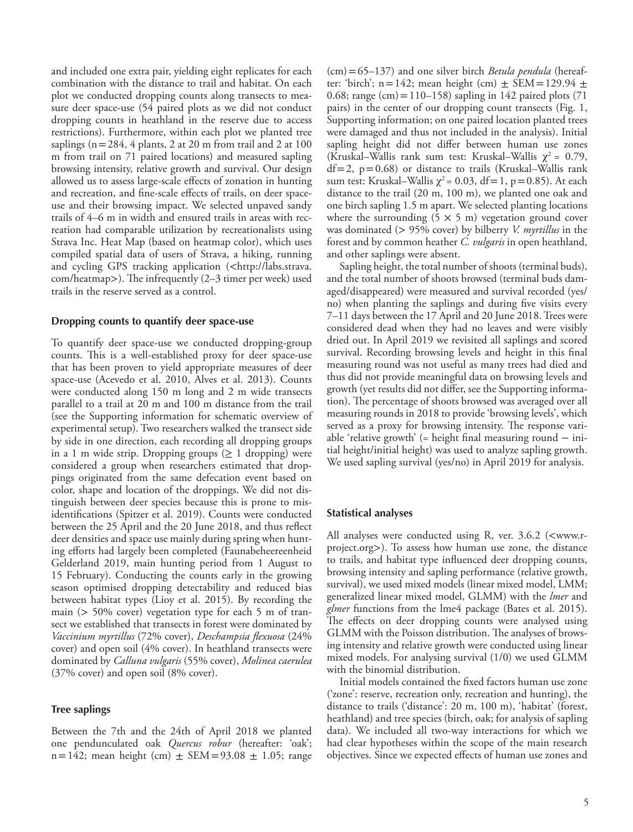and included one extra pair, yielding eight replicates for each combination with the distance to trail and habitat. On each plot we conducted dropping counts along transects to measure deer space-use (54 paired plots as we did not conduct dropping counts in heathland in the reserve due to access restrictions). Furthermore, within each plot we planted tree saplings ( $n=284$ , 4 plants, 2 at 20 m from trail and 2 at 100 m from trail on 71 paired locations) and measured sapling browsing intensity, relative growth and survival. Our design allowed us to assess large-scale effects of zonation in hunting and recreation, and fine-scale effects of trails, on deer spaceuse and their browsing impact. We selected unpaved sandy trails of 4–6 m in width and ensured trails in areas with recreation had comparable utilization by recreationalists using Strava Inc. Heat Map (based on heatmap color), which uses compiled spatial data of users of Strava, a hiking, running and cycling GPS tracking application (<http://labs.strava. com/heatmap>). The infrequently (2–3 timer per week) used trails in the reserve served as a control.

#### **Dropping counts to quantify deer space-use**

To quantify deer space-use we conducted dropping-group counts. This is a well-established proxy for deer space-use that has been proven to yield appropriate measures of deer space-use (Acevedo et al. 2010, Alves et al. 2013). Counts were conducted along 150 m long and 2 m wide transects parallel to a trail at 20 m and 100 m distance from the trail (see the Supporting information for schematic overview of experimental setup). Two researchers walked the transect side by side in one direction, each recording all dropping groups in a 1 m wide strip. Dropping groups  $(≥ 1$  dropping) were considered a group when researchers estimated that droppings originated from the same defecation event based on color, shape and location of the droppings. We did not distinguish between deer species because this is prone to misidentifications (Spitzer et al. 2019). Counts were conducted between the 25 April and the 20 June 2018, and thus reflect deer densities and space use mainly during spring when hunting efforts had largely been completed (Faunabeheereenheid Gelderland 2019, main hunting period from 1 August to 15 February). Conducting the counts early in the growing season optimised dropping detectability and reduced bias between habitat types (Lioy et al. 2015). By recording the main (> 50% cover) vegetation type for each 5 m of transect we established that transects in forest were dominated by *Vaccinium myrtillus* (72% cover), *Deschampsia flexuosa* (24% cover) and open soil (4% cover). In heathland transects were dominated by *Calluna vulgaris* (55% cover), *Molinea caerulea* (37% cover) and open soil (8% cover).

#### **Tree saplings**

Between the 7th and the 24th of April 2018 we planted one pendunculated oak *Quercus robur* (hereafter: 'oak'; n = 142; mean height (cm)  $\pm$  SEM = 93.08  $\pm$  1.05; range

(cm)=65–137) and one silver birch *Betula pendula* (hereafter: 'birch'; n = 142; mean height (cm)  $\pm$  SEM = 129.94  $\pm$ 0.68; range (cm) =  $110-158$ ) sapling in 142 paired plots (71) pairs) in the center of our dropping count transects (Fig. 1, Supporting information; on one paired location planted trees were damaged and thus not included in the analysis). Initial sapling height did not differ between human use zones (Kruskal–Wallis rank sum test: Kruskal–Wallis  $\chi^2 = 0.79$ ,  $df=2$ ,  $p=0.68$ ) or distance to trails (Kruskal–Wallis rank sum test: Kruskal–Wallis  $\chi^2$  = 0.03, df = 1, p = 0.85). At each distance to the trail (20 m, 100 m), we planted one oak and one birch sapling 1.5 m apart. We selected planting locations where the surrounding  $(5 \times 5 \text{ m})$  vegetation ground cover was dominated (> 95% cover) by bilberry *V. myrtillus* in the forest and by common heather *C. vulgaris* in open heathland, and other saplings were absent.

Sapling height, the total number of shoots (terminal buds), and the total number of shoots browsed (terminal buds damaged/disappeared) were measured and survival recorded (yes/ no) when planting the saplings and during five visits every 7–11 days between the 17 April and 20 June 2018. Trees were considered dead when they had no leaves and were visibly dried out. In April 2019 we revisited all saplings and scored survival. Recording browsing levels and height in this final measuring round was not useful as many trees had died and thus did not provide meaningful data on browsing levels and growth (yet results did not differ, see the Supporting information). The percentage of shoots browsed was averaged over all measuring rounds in 2018 to provide 'browsing levels', which served as a proxy for browsing intensity. The response variable 'relative growth' (= height final measuring round − initial height/initial height) was used to analyze sapling growth. We used sapling survival (yes/no) in April 2019 for analysis.

#### **Statistical analyses**

All analyses were conducted using R, ver. 3.6.2 (<www.rproject.org>). To assess how human use zone, the distance to trails, and habitat type influenced deer dropping counts, browsing intensity and sapling performance (relative growth, survival), we used mixed models (linear mixed model, LMM; generalized linear mixed model, GLMM) with the *lmer* and *glmer* functions from the lme4 package (Bates et al. 2015). The effects on deer dropping counts were analysed using GLMM with the Poisson distribution. The analyses of browsing intensity and relative growth were conducted using linear mixed models. For analysing survival (1/0) we used GLMM with the binomial distribution.

Initial models contained the fixed factors human use zone ('zone': reserve, recreation only, recreation and hunting), the distance to trails ('distance': 20 m, 100 m), 'habitat' (forest, heathland) and tree species (birch, oak; for analysis of sapling data). We included all two-way interactions for which we had clear hypotheses within the scope of the main research objectives. Since we expected effects of human use zones and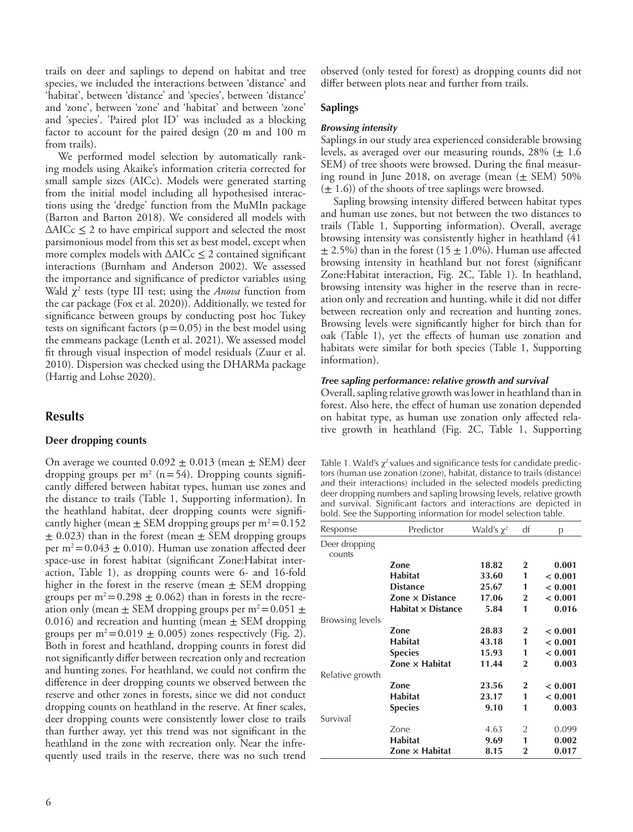trails on deer and saplings to depend on habitat and tree species, we included the interactions between 'distance' and 'habitat', between 'distance' and 'species', between 'distance' and 'zone', between 'zone' and 'habitat' and between 'zone' and 'species'. 'Paired plot ID' was included as a blocking factor to account for the paired design (20 m and 100 m from trails).

We performed model selection by automatically ranking models using Akaike's information criteria corrected for small sample sizes (AICc). Models were generated starting from the initial model including all hypothesised interactions using the 'dredge' function from the MuMIn package (Barton and Barton 2018). We considered all models with  $\triangle$ AICc  $\leq$  2 to have empirical support and selected the most parsimonious model from this set as best model, except when more complex models with  $\triangle AICc \leq 2$  contained significant interactions (Burnham and Anderson 2002). We assessed the importance and significance of predictor variables using Wald χ<sup>2</sup> tests (type III test; using the *Anova* function from the car package (Fox et al. 2020)). Additionally, we tested for significance between groups by conducting post hoc Tukey tests on significant factors ( $p=0.05$ ) in the best model using the emmeans package (Lenth et al. 2021). We assessed model fit through visual inspection of model residuals (Zuur et al. 2010). Dispersion was checked using the DHARMa package (Hartig and Lohse 2020).

# **Results**

#### **Deer dropping counts**

On average we counted  $0.092 \pm 0.013$  (mean  $\pm$  SEM) deer dropping groups per  $m^2$  (n=54). Dropping counts significantly differed between habitat types, human use zones and the distance to trails (Table 1, Supporting information). In the heathland habitat, deer dropping counts were significantly higher (mean  $\pm$  SEM dropping groups per m<sup>2</sup>=0.152  $\pm$  0.023) than in the forest (mean  $\pm$  SEM dropping groups per m<sup>2</sup>=0.043  $\pm$  0.010). Human use zonation affected deer space-use in forest habitat (significant Zone:Habitat interaction, Table 1), as dropping counts were 6- and 16-fold higher in the forest in the reserve (mean  $\pm$  SEM dropping groups per  $m^2$  = 0.298  $\pm$  0.062) than in forests in the recreation only (mean  $\pm$  SEM dropping groups per m<sup>2</sup>=0.051  $\pm$ 0.016) and recreation and hunting (mean  $\pm$  SEM dropping groups per  $m^2$ =0.019  $\pm$  0.005) zones respectively (Fig. 2). Both in forest and heathland, dropping counts in forest did not significantly differ between recreation only and recreation and hunting zones. For heathland, we could not confirm the difference in deer dropping counts we observed between the reserve and other zones in forests, since we did not conduct dropping counts on heathland in the reserve. At finer scales, deer dropping counts were consistently lower close to trails than further away, yet this trend was not significant in the heathland in the zone with recreation only. Near the infrequently used trails in the reserve, there was no such trend

observed (only tested for forest) as dropping counts did not differ between plots near and further from trails.

#### **Saplings**

#### *Browsing intensity*

Saplings in our study area experienced considerable browsing levels, as averaged over our measuring rounds,  $28\%$  ( $\pm$  1.6 SEM) of tree shoots were browsed. During the final measuring round in June 2018, on average (mean  $(\pm$  SEM) 50%  $(\pm 1.6)$  of the shoots of tree saplings were browsed.

Sapling browsing intensity differed between habitat types and human use zones, but not between the two distances to trails (Table 1, Supporting information). Overall, average browsing intensity was consistently higher in heathland (41  $\pm$  2.5%) than in the forest (15  $\pm$  1.0%). Human use affected browsing intensity in heathland but not forest (significant Zone:Habitat interaction, Fig. 2C, Table 1). In heathland, browsing intensity was higher in the reserve than in recreation only and recreation and hunting, while it did not differ between recreation only and recreation and hunting zones. Browsing levels were significantly higher for birch than for oak (Table 1), yet the effects of human use zonation and habitats were similar for both species (Table 1, Supporting information).

#### *Tree sapling performance: relative growth and survival*

Overall, sapling relative growth was lower in heathland than in forest. Also here, the effect of human use zonation depended on habitat type, as human use zonation only affected relative growth in heathland (Fig. 2C, Table 1, Supporting

Table 1. Wald's  $\chi^2$  values and significance tests for candidate predictors (human use zonation (zone), habitat, distance to trails (distance) and their interactions) included in the selected models predicting deer dropping numbers and sapling browsing levels, relative growth and survival. Significant factors and interactions are depicted in bold. See the Supporting information for model selection table.

| Response                | Predictor                 | Wald's $\chi^2$ | df             | р       |
|-------------------------|---------------------------|-----------------|----------------|---------|
| Deer dropping<br>counts |                           |                 |                |         |
|                         | Zone                      | 18.82           | $\mathbf{2}$   | 0.001   |
|                         | <b>Habitat</b>            | 33.60           | 1              | < 0.001 |
|                         | <b>Distance</b>           | 25.67           | 1              | < 0.001 |
|                         | Zone $\times$ Distance    | 17.06           | $\overline{2}$ | < 0.001 |
|                         | $Habitat \times Distance$ | 5.84            | 1              | 0.016   |
| Browsing levels         |                           |                 |                |         |
|                         | Zone                      | 28.83           | $\mathbf{2}$   | < 0.001 |
|                         | <b>Habitat</b>            | 43.18           | 1              | < 0.001 |
|                         | <b>Species</b>            | 15.93           | 1              | < 0.001 |
|                         | Zone $\times$ Habitat     | 11.44           | $\overline{2}$ | 0.003   |
| Relative growth         |                           |                 |                |         |
|                         | Zone                      | 23.56           | $\mathbf{2}$   | < 0.001 |
|                         | <b>Habitat</b>            | 23.17           | 1              | < 0.001 |
|                         | <b>Species</b>            | 9.10            | 1              | 0.003   |
| Survival                |                           |                 |                |         |
|                         | Zone                      | 4.63            | 2              | 0.099   |
|                         | <b>Habitat</b>            | 9.69            | 1              | 0.002   |
|                         | Zone $\times$ Habitat     | 8.15            | 2              | 0.017   |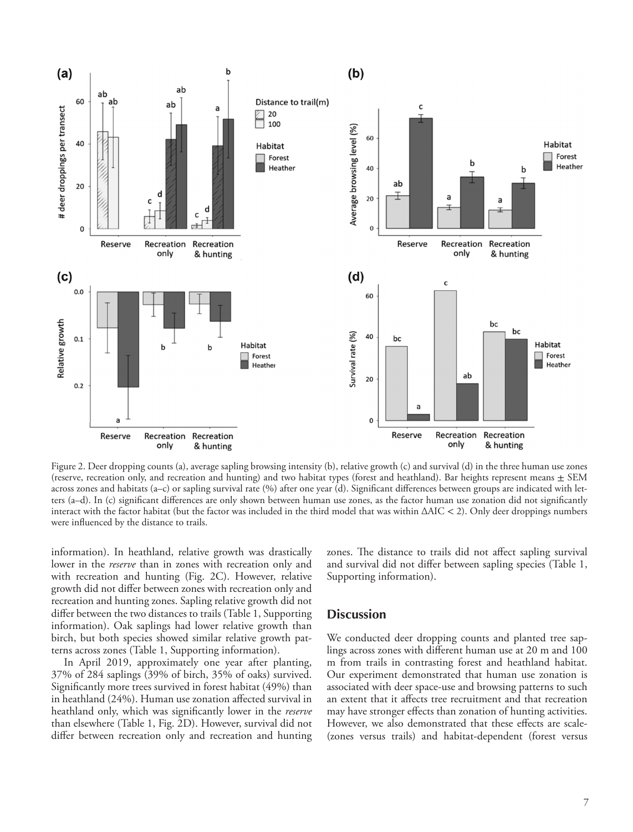

Figure 2. Deer dropping counts (a), average sapling browsing intensity (b), relative growth (c) and survival (d) in the three human use zones (reserve, recreation only, and recreation and hunting) and two habitat types (forest and heathland). Bar heights represent means  $\pm$  SEM across zones and habitats (a–c) or sapling survival rate (%) after one year (d). Significant differences between groups are indicated with letters (a–d). In (c) significant differences are only shown between human use zones, as the factor human use zonation did not significantly interact with the factor habitat (but the factor was included in the third model that was within ΔAIC < 2). Only deer droppings numbers were influenced by the distance to trails.

information). In heathland, relative growth was drastically lower in the *reserve* than in zones with recreation only and with recreation and hunting (Fig. 2C). However, relative growth did not differ between zones with recreation only and recreation and hunting zones. Sapling relative growth did not differ between the two distances to trails (Table 1, Supporting information). Oak saplings had lower relative growth than birch, but both species showed similar relative growth patterns across zones (Table 1, Supporting information).

In April 2019, approximately one year after planting, 37% of 284 saplings (39% of birch, 35% of oaks) survived. Significantly more trees survived in forest habitat (49%) than in heathland (24%). Human use zonation affected survival in heathland only, which was significantly lower in the *reserve* than elsewhere (Table 1, Fig. 2D). However, survival did not differ between recreation only and recreation and hunting zones. The distance to trails did not affect sapling survival and survival did not differ between sapling species (Table 1, Supporting information).

## **Discussion**

We conducted deer dropping counts and planted tree saplings across zones with different human use at 20 m and 100 m from trails in contrasting forest and heathland habitat. Our experiment demonstrated that human use zonation is associated with deer space-use and browsing patterns to such an extent that it affects tree recruitment and that recreation may have stronger effects than zonation of hunting activities. However, we also demonstrated that these effects are scale- (zones versus trails) and habitat-dependent (forest versus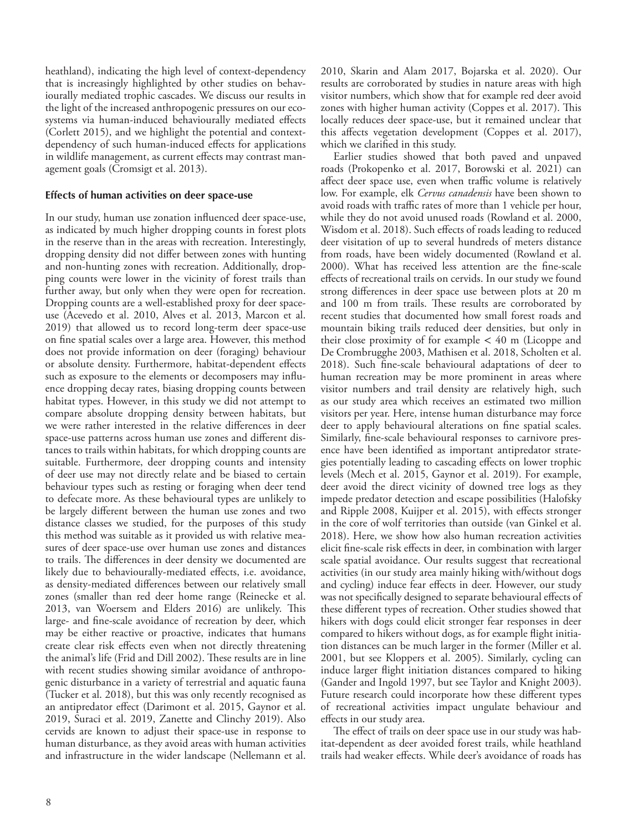heathland), indicating the high level of context-dependency that is increasingly highlighted by other studies on behaviourally mediated trophic cascades. We discuss our results in the light of the increased anthropogenic pressures on our ecosystems via human-induced behaviourally mediated effects (Corlett 2015), and we highlight the potential and contextdependency of such human-induced effects for applications in wildlife management, as current effects may contrast management goals (Cromsigt et al. 2013).

#### **Effects of human activities on deer space-use**

In our study, human use zonation influenced deer space-use, as indicated by much higher dropping counts in forest plots in the reserve than in the areas with recreation. Interestingly, dropping density did not differ between zones with hunting and non-hunting zones with recreation. Additionally, dropping counts were lower in the vicinity of forest trails than further away, but only when they were open for recreation. Dropping counts are a well-established proxy for deer spaceuse (Acevedo et al. 2010, Alves et al. 2013, Marcon et al. 2019) that allowed us to record long-term deer space-use on fine spatial scales over a large area. However, this method does not provide information on deer (foraging) behaviour or absolute density. Furthermore, habitat-dependent effects such as exposure to the elements or decomposers may influence dropping decay rates, biasing dropping counts between habitat types. However, in this study we did not attempt to compare absolute dropping density between habitats, but we were rather interested in the relative differences in deer space-use patterns across human use zones and different distances to trails within habitats, for which dropping counts are suitable. Furthermore, deer dropping counts and intensity of deer use may not directly relate and be biased to certain behaviour types such as resting or foraging when deer tend to defecate more. As these behavioural types are unlikely to be largely different between the human use zones and two distance classes we studied, for the purposes of this study this method was suitable as it provided us with relative measures of deer space-use over human use zones and distances to trails. The differences in deer density we documented are likely due to behaviourally-mediated effects, i.e. avoidance, as density-mediated differences between our relatively small zones (smaller than red deer home range (Reinecke et al. 2013, van Woersem and Elders 2016) are unlikely. This large- and fine-scale avoidance of recreation by deer, which may be either reactive or proactive, indicates that humans create clear risk effects even when not directly threatening the animal's life (Frid and Dill 2002). These results are in line with recent studies showing similar avoidance of anthropogenic disturbance in a variety of terrestrial and aquatic fauna (Tucker et al. 2018), but this was only recently recognised as an antipredator effect (Darimont et al. 2015, Gaynor et al. 2019, Suraci et al. 2019, Zanette and Clinchy 2019). Also cervids are known to adjust their space-use in response to human disturbance, as they avoid areas with human activities and infrastructure in the wider landscape (Nellemann et al.

2010, Skarin and Alam 2017, Bojarska et al. 2020). Our results are corroborated by studies in nature areas with high visitor numbers, which show that for example red deer avoid zones with higher human activity (Coppes et al. 2017). This locally reduces deer space-use, but it remained unclear that this affects vegetation development (Coppes et al. 2017), which we clarified in this study.

Earlier studies showed that both paved and unpaved roads (Prokopenko et al. 2017, Borowski et al. 2021) can affect deer space use, even when traffic volume is relatively low. For example, elk *Cervus canadensis* have been shown to avoid roads with traffic rates of more than 1 vehicle per hour, while they do not avoid unused roads (Rowland et al. 2000, Wisdom et al. 2018). Such effects of roads leading to reduced deer visitation of up to several hundreds of meters distance from roads, have been widely documented (Rowland et al. 2000). What has received less attention are the fine-scale effects of recreational trails on cervids. In our study we found strong differences in deer space use between plots at 20 m and 100 m from trails. These results are corroborated by recent studies that documented how small forest roads and mountain biking trails reduced deer densities, but only in their close proximity of for example  $< 40$  m (Licoppe and De Crombrugghe 2003, Mathisen et al. 2018, Scholten et al. 2018). Such fine-scale behavioural adaptations of deer to human recreation may be more prominent in areas where visitor numbers and trail density are relatively high, such as our study area which receives an estimated two million visitors per year. Here, intense human disturbance may force deer to apply behavioural alterations on fine spatial scales. Similarly, fine-scale behavioural responses to carnivore presence have been identified as important antipredator strategies potentially leading to cascading effects on lower trophic levels (Mech et al. 2015, Gaynor et al. 2019). For example, deer avoid the direct vicinity of downed tree logs as they impede predator detection and escape possibilities (Halofsky and Ripple 2008, Kuijper et al. 2015), with effects stronger in the core of wolf territories than outside (van Ginkel et al. 2018). Here, we show how also human recreation activities elicit fine-scale risk effects in deer, in combination with larger scale spatial avoidance. Our results suggest that recreational activities (in our study area mainly hiking with/without dogs and cycling) induce fear effects in deer. However, our study was not specifically designed to separate behavioural effects of these different types of recreation. Other studies showed that hikers with dogs could elicit stronger fear responses in deer compared to hikers without dogs, as for example flight initiation distances can be much larger in the former (Miller et al. 2001, but see Kloppers et al. 2005). Similarly, cycling can induce larger flight initiation distances compared to hiking (Gander and Ingold 1997, but see Taylor and Knight 2003). Future research could incorporate how these different types of recreational activities impact ungulate behaviour and effects in our study area.

The effect of trails on deer space use in our study was habitat-dependent as deer avoided forest trails, while heathland trails had weaker effects. While deer's avoidance of roads has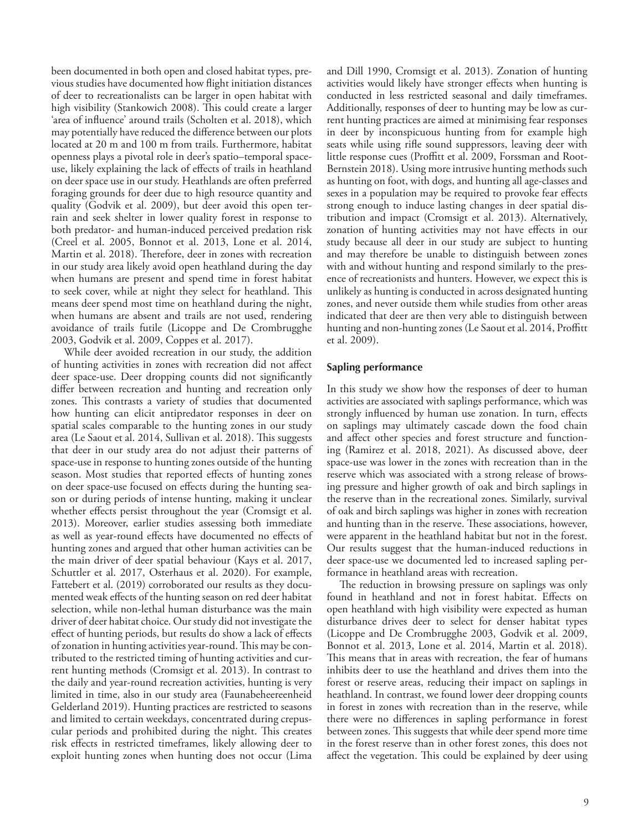been documented in both open and closed habitat types, previous studies have documented how flight initiation distances of deer to recreationalists can be larger in open habitat with high visibility (Stankowich 2008). This could create a larger 'area of influence' around trails (Scholten et al. 2018), which may potentially have reduced the difference between our plots located at 20 m and 100 m from trails. Furthermore, habitat openness plays a pivotal role in deer's spatio–temporal spaceuse, likely explaining the lack of effects of trails in heathland on deer space use in our study. Heathlands are often preferred foraging grounds for deer due to high resource quantity and quality (Godvik et al. 2009), but deer avoid this open terrain and seek shelter in lower quality forest in response to both predator- and human-induced perceived predation risk (Creel et al. 2005, Bonnot et al. 2013, Lone et al. 2014, Martin et al. 2018). Therefore, deer in zones with recreation in our study area likely avoid open heathland during the day when humans are present and spend time in forest habitat to seek cover, while at night they select for heathland. This means deer spend most time on heathland during the night, when humans are absent and trails are not used, rendering avoidance of trails futile (Licoppe and De Crombrugghe 2003, Godvik et al. 2009, Coppes et al. 2017).

While deer avoided recreation in our study, the addition of hunting activities in zones with recreation did not affect deer space-use. Deer dropping counts did not significantly differ between recreation and hunting and recreation only zones. This contrasts a variety of studies that documented how hunting can elicit antipredator responses in deer on spatial scales comparable to the hunting zones in our study area (Le Saout et al. 2014, Sullivan et al. 2018). This suggests that deer in our study area do not adjust their patterns of space-use in response to hunting zones outside of the hunting season. Most studies that reported effects of hunting zones on deer space-use focused on effects during the hunting season or during periods of intense hunting, making it unclear whether effects persist throughout the year (Cromsigt et al. 2013). Moreover, earlier studies assessing both immediate as well as year-round effects have documented no effects of hunting zones and argued that other human activities can be the main driver of deer spatial behaviour (Kays et al. 2017, Schuttler et al. 2017, Osterhaus et al. 2020). For example, Fattebert et al. (2019) corroborated our results as they documented weak effects of the hunting season on red deer habitat selection, while non-lethal human disturbance was the main driver of deer habitat choice. Our study did not investigate the effect of hunting periods, but results do show a lack of effects of zonation in hunting activities year-round. This may be contributed to the restricted timing of hunting activities and current hunting methods (Cromsigt et al. 2013). In contrast to the daily and year-round recreation activities, hunting is very limited in time, also in our study area (Faunabeheereenheid Gelderland 2019). Hunting practices are restricted to seasons and limited to certain weekdays, concentrated during crepuscular periods and prohibited during the night. This creates risk effects in restricted timeframes, likely allowing deer to exploit hunting zones when hunting does not occur (Lima

and Dill 1990, Cromsigt et al. 2013). Zonation of hunting activities would likely have stronger effects when hunting is conducted in less restricted seasonal and daily timeframes. Additionally, responses of deer to hunting may be low as current hunting practices are aimed at minimising fear responses in deer by inconspicuous hunting from for example high seats while using rifle sound suppressors, leaving deer with little response cues (Proffitt et al. 2009, Forssman and Root-Bernstein 2018). Using more intrusive hunting methods such as hunting on foot, with dogs, and hunting all age-classes and sexes in a population may be required to provoke fear effects strong enough to induce lasting changes in deer spatial distribution and impact (Cromsigt et al. 2013). Alternatively, zonation of hunting activities may not have effects in our study because all deer in our study are subject to hunting and may therefore be unable to distinguish between zones with and without hunting and respond similarly to the presence of recreationists and hunters. However, we expect this is unlikely as hunting is conducted in across designated hunting zones, and never outside them while studies from other areas indicated that deer are then very able to distinguish between hunting and non-hunting zones (Le Saout et al. 2014, Proffitt et al. 2009).

#### **Sapling performance**

In this study we show how the responses of deer to human activities are associated with saplings performance, which was strongly influenced by human use zonation. In turn, effects on saplings may ultimately cascade down the food chain and affect other species and forest structure and functioning (Ramirez et al. 2018, 2021). As discussed above, deer space-use was lower in the zones with recreation than in the reserve which was associated with a strong release of browsing pressure and higher growth of oak and birch saplings in the reserve than in the recreational zones. Similarly, survival of oak and birch saplings was higher in zones with recreation and hunting than in the reserve. These associations, however, were apparent in the heathland habitat but not in the forest. Our results suggest that the human-induced reductions in deer space-use we documented led to increased sapling performance in heathland areas with recreation.

The reduction in browsing pressure on saplings was only found in heathland and not in forest habitat. Effects on open heathland with high visibility were expected as human disturbance drives deer to select for denser habitat types (Licoppe and De Crombrugghe 2003, Godvik et al. 2009, Bonnot et al. 2013, Lone et al. 2014, Martin et al. 2018). This means that in areas with recreation, the fear of humans inhibits deer to use the heathland and drives them into the forest or reserve areas, reducing their impact on saplings in heathland. In contrast, we found lower deer dropping counts in forest in zones with recreation than in the reserve, while there were no differences in sapling performance in forest between zones. This suggests that while deer spend more time in the forest reserve than in other forest zones, this does not affect the vegetation. This could be explained by deer using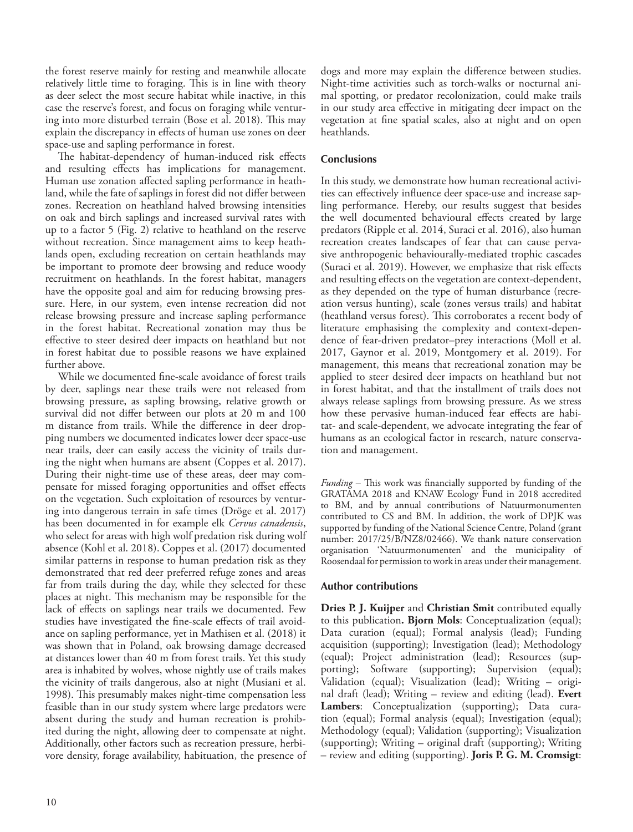the forest reserve mainly for resting and meanwhile allocate relatively little time to foraging. This is in line with theory as deer select the most secure habitat while inactive, in this case the reserve's forest, and focus on foraging while venturing into more disturbed terrain (Bose et al. 2018). This may explain the discrepancy in effects of human use zones on deer space-use and sapling performance in forest.

The habitat-dependency of human-induced risk effects and resulting effects has implications for management. Human use zonation affected sapling performance in heathland, while the fate of saplings in forest did not differ between zones. Recreation on heathland halved browsing intensities on oak and birch saplings and increased survival rates with up to a factor 5 (Fig. 2) relative to heathland on the reserve without recreation. Since management aims to keep heathlands open, excluding recreation on certain heathlands may be important to promote deer browsing and reduce woody recruitment on heathlands. In the forest habitat, managers have the opposite goal and aim for reducing browsing pressure. Here, in our system, even intense recreation did not release browsing pressure and increase sapling performance in the forest habitat. Recreational zonation may thus be effective to steer desired deer impacts on heathland but not in forest habitat due to possible reasons we have explained further above.

While we documented fine-scale avoidance of forest trails by deer, saplings near these trails were not released from browsing pressure, as sapling browsing, relative growth or survival did not differ between our plots at 20 m and 100 m distance from trails. While the difference in deer dropping numbers we documented indicates lower deer space-use near trails, deer can easily access the vicinity of trails during the night when humans are absent (Coppes et al. 2017). During their night-time use of these areas, deer may compensate for missed foraging opportunities and offset effects on the vegetation. Such exploitation of resources by venturing into dangerous terrain in safe times (Dröge et al. 2017) has been documented in for example elk *Cervus canadensis*, who select for areas with high wolf predation risk during wolf absence (Kohl et al. 2018). Coppes et al. (2017) documented similar patterns in response to human predation risk as they demonstrated that red deer preferred refuge zones and areas far from trails during the day, while they selected for these places at night. This mechanism may be responsible for the lack of effects on saplings near trails we documented. Few studies have investigated the fine-scale effects of trail avoidance on sapling performance, yet in Mathisen et al. (2018) it was shown that in Poland, oak browsing damage decreased at distances lower than 40 m from forest trails. Yet this study area is inhabited by wolves, whose nightly use of trails makes the vicinity of trails dangerous, also at night (Musiani et al. 1998). This presumably makes night-time compensation less feasible than in our study system where large predators were absent during the study and human recreation is prohibited during the night, allowing deer to compensate at night. Additionally, other factors such as recreation pressure, herbivore density, forage availability, habituation, the presence of

dogs and more may explain the difference between studies. Night-time activities such as torch-walks or nocturnal animal spotting, or predator recolonization, could make trails in our study area effective in mitigating deer impact on the vegetation at fine spatial scales, also at night and on open heathlands.

## **Conclusions**

In this study, we demonstrate how human recreational activities can effectively influence deer space-use and increase sapling performance. Hereby, our results suggest that besides the well documented behavioural effects created by large predators (Ripple et al. 2014, Suraci et al. 2016), also human recreation creates landscapes of fear that can cause pervasive anthropogenic behaviourally-mediated trophic cascades (Suraci et al. 2019). However, we emphasize that risk effects and resulting effects on the vegetation are context-dependent, as they depended on the type of human disturbance (recreation versus hunting), scale (zones versus trails) and habitat (heathland versus forest). This corroborates a recent body of literature emphasising the complexity and context-dependence of fear-driven predator–prey interactions (Moll et al. 2017, Gaynor et al. 2019, Montgomery et al. 2019). For management, this means that recreational zonation may be applied to steer desired deer impacts on heathland but not in forest habitat, and that the installment of trails does not always release saplings from browsing pressure. As we stress how these pervasive human-induced fear effects are habitat- and scale-dependent, we advocate integrating the fear of humans as an ecological factor in research, nature conservation and management.

*Funding* – This work was financially supported by funding of the GRATAMA 2018 and KNAW Ecology Fund in 2018 accredited to BM, and by annual contributions of Natuurmonumenten contributed to CS and BM. In addition, the work of DPJK was supported by funding of the National Science Centre, Poland (grant number: 2017/25/B/NZ8/02466). We thank nature conservation organisation 'Natuurmonumenten' and the municipality of Roosendaal for permission to work in areas under their management.

# **Author contributions**

**Dries P. J. Kuijper** and **Christian Smit** contributed equally to this publication**. Bjorn Mols**: Conceptualization (equal); Data curation (equal); Formal analysis (lead); Funding acquisition (supporting); Investigation (lead); Methodology (equal); Project administration (lead); Resources (supporting); Software (supporting); Supervision (equal); Validation (equal); Visualization (lead); Writing – original draft (lead); Writing – review and editing (lead). **Evert Lambers**: Conceptualization (supporting); Data curation (equal); Formal analysis (equal); Investigation (equal); Methodology (equal); Validation (supporting); Visualization (supporting); Writing – original draft (supporting); Writing – review and editing (supporting). **Joris P. G. M. Cromsigt**: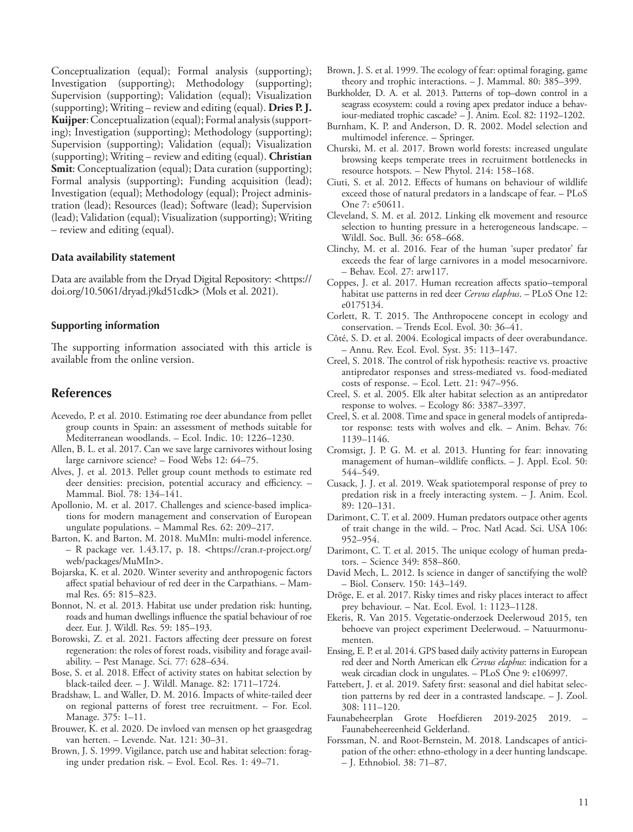Conceptualization (equal); Formal analysis (supporting); Investigation (supporting); Methodology (supporting); Supervision (supporting); Validation (equal); Visualization (supporting); Writing – review and editing (equal). **Dries P. J. Kuijper**: Conceptualization (equal); Formal analysis (supporting); Investigation (supporting); Methodology (supporting); Supervision (supporting); Validation (equal); Visualization (supporting); Writing – review and editing (equal). **Christian Smit:** Conceptualization (equal); Data curation (supporting); Formal analysis (supporting); Funding acquisition (lead); Investigation (equal); Methodology (equal); Project administration (lead); Resources (lead); Software (lead); Supervision (lead); Validation (equal); Visualization (supporting); Writing – review and editing (equal).

#### **Data availability statement**

Data are available from the Dryad Digital Repository: <https:// doi.org/10.5061/dryad.j9kd51cdk> (Mols et al. 2021).

#### **Supporting information**

The supporting information associated with this article is available from the online version.

## **References**

- Acevedo, P. et al. 2010. Estimating roe deer abundance from pellet group counts in Spain: an assessment of methods suitable for Mediterranean woodlands. – Ecol. Indic. 10: 1226–1230.
- Allen, B. L. et al. 2017. Can we save large carnivores without losing large carnivore science? – Food Webs 12: 64–75.
- Alves, J. et al. 2013. Pellet group count methods to estimate red deer densities: precision, potential accuracy and efficiency. – Mammal. Biol. 78: 134–141.
- Apollonio, M. et al. 2017. Challenges and science-based implications for modern management and conservation of European ungulate populations. – Mammal Res. 62: 209–217.
- Barton, K. and Barton, M. 2018. MuMIn: multi-model inference. – R package ver. 1.43.17, p. 18. <https://cran.r-project.org/ web/packages/MuMIn>.
- Bojarska, K. et al. 2020. Winter severity and anthropogenic factors affect spatial behaviour of red deer in the Carpathians. – Mammal Res. 65: 815–823.
- Bonnot, N. et al. 2013. Habitat use under predation risk: hunting, roads and human dwellings influence the spatial behaviour of roe deer. Eur. J. Wildl. Res. 59: 185–193.
- Borowski, Z. et al. 2021. Factors affecting deer pressure on forest regeneration: the roles of forest roads, visibility and forage availability. – Pest Manage. Sci. 77: 628–634.
- Bose, S. et al. 2018. Effect of activity states on habitat selection by black-tailed deer. – J. Wildl. Manage. 82: 1711–1724.
- Bradshaw, L. and Waller, D. M. 2016. Impacts of white-tailed deer on regional patterns of forest tree recruitment. – For. Ecol. Manage. 375: 1–11.
- Brouwer, K. et al. 2020. De invloed van mensen op het graasgedrag van herten. – Levende. Nat. 121: 30–31.
- Brown, J. S. 1999. Vigilance, patch use and habitat selection: foraging under predation risk. – Evol. Ecol. Res. 1: 49–71.
- Brown, J. S. et al. 1999. The ecology of fear: optimal foraging, game theory and trophic interactions. – J. Mammal. 80: 385–399.
- Burkholder, D. A. et al. 2013. Patterns of top–down control in a seagrass ecosystem: could a roving apex predator induce a behaviour-mediated trophic cascade? – J. Anim. Ecol. 82: 1192–1202.
- Burnham, K. P. and Anderson, D. R. 2002. Model selection and multimodel inference. – Springer.
- Churski, M. et al. 2017. Brown world forests: increased ungulate browsing keeps temperate trees in recruitment bottlenecks in resource hotspots. – New Phytol. 214: 158–168.
- Ciuti, S. et al. 2012. Effects of humans on behaviour of wildlife exceed those of natural predators in a landscape of fear. – PLoS One 7: e50611.
- Cleveland, S. M. et al. 2012. Linking elk movement and resource selection to hunting pressure in a heterogeneous landscape. – Wildl. Soc. Bull. 36: 658–668.
- Clinchy, M. et al. 2016. Fear of the human 'super predator' far exceeds the fear of large carnivores in a model mesocarnivore. – Behav. Ecol. 27: arw117.
- Coppes, J. et al. 2017. Human recreation affects spatio–temporal habitat use patterns in red deer *Cervus elaphus*. – PLoS One 12: e0175134.
- Corlett, R. T. 2015. The Anthropocene concept in ecology and conservation. – Trends Ecol. Evol. 30: 36–41.
- Côté, S. D. et al. 2004. Ecological impacts of deer overabundance. – Annu. Rev. Ecol. Evol. Syst. 35: 113–147.
- Creel, S. 2018. The control of risk hypothesis: reactive vs. proactive antipredator responses and stress-mediated vs. food-mediated costs of response. – Ecol. Lett. 21: 947–956.
- Creel, S. et al. 2005. Elk alter habitat selection as an antipredator response to wolves. – Ecology 86: 3387–3397.
- Creel, S. et al. 2008. Time and space in general models of antipredator response: tests with wolves and elk. – Anim. Behav. 76: 1139–1146.
- Cromsigt, J. P. G. M. et al. 2013. Hunting for fear: innovating management of human–wildlife conflicts. – J. Appl. Ecol. 50: 544–549.
- Cusack, J. J. et al. 2019. Weak spatiotemporal response of prey to predation risk in a freely interacting system. – J. Anim. Ecol. 89: 120–131.
- Darimont, C. T. et al. 2009. Human predators outpace other agents of trait change in the wild. – Proc. Natl Acad. Sci. USA 106: 952–954.
- Darimont, C. T. et al. 2015. The unique ecology of human predators. – Science 349: 858–860.
- David Mech, L. 2012. Is science in danger of sanctifying the wolf? – Biol. Conserv. 150: 143–149.
- Dröge, E. et al. 2017. Risky times and risky places interact to affect prey behaviour. – Nat. Ecol. Evol. 1: 1123–1128.
- Ekeris, R. Van 2015. Vegetatie-onderzoek Deelerwoud 2015, ten behoeve van project experiment Deelerwoud. – Natuurmonumenten.
- Ensing, E. P. et al. 2014. GPS based daily activity patterns in European red deer and North American elk *Cervus elaphus*: indication for a weak circadian clock in ungulates. – PLoS One 9: e106997.
- Fattebert, J. et al. 2019. Safety first: seasonal and diel habitat selection patterns by red deer in a contrasted landscape. – J. Zool. 308: 111–120.
- Faunabeheerplan Grote Hoefdieren 2019-2025 2019. Faunabeheereenheid Gelderland.
- Forssman, N. and Root-Bernstein, M. 2018. Landscapes of anticipation of the other: ethno-ethology in a deer hunting landscape. – J. Ethnobiol. 38: 71–87.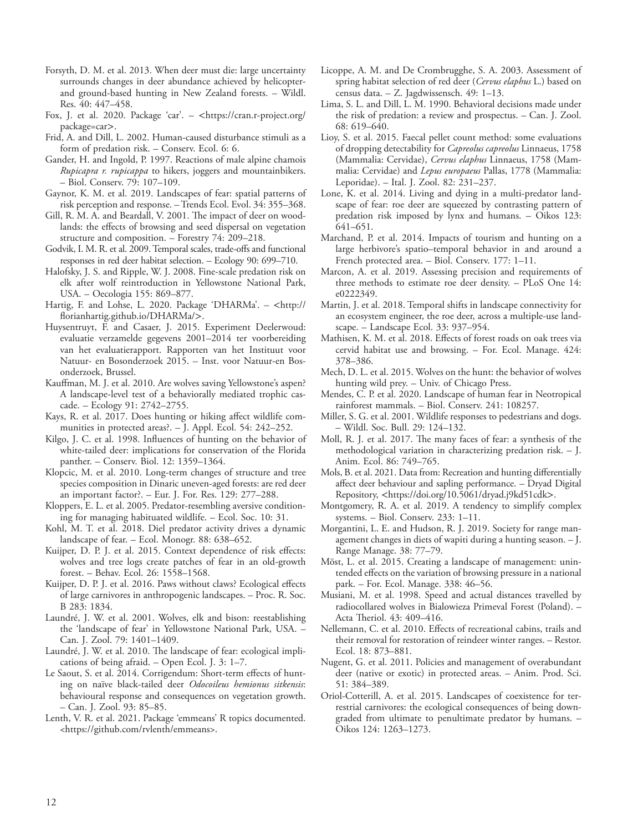- Forsyth, D. M. et al. 2013. When deer must die: large uncertainty surrounds changes in deer abundance achieved by helicopterand ground-based hunting in New Zealand forests. – Wildl. Res. 40: 447–458.
- Fox, J. et al. 2020. Package 'car'. <https://cran.r-project.org/ package=car>.
- Frid, A. and Dill, L. 2002. Human-caused disturbance stimuli as a form of predation risk. – Conserv. Ecol. 6: 6.
- Gander, H. and Ingold, P. 1997. Reactions of male alpine chamois *Rupicapra r. rupicappa* to hikers, joggers and mountainbikers. – Biol. Conserv. 79: 107–109.
- Gaynor, K. M. et al. 2019. Landscapes of fear: spatial patterns of risk perception and response. – Trends Ecol. Evol. 34: 355–368.
- Gill, R. M. A. and Beardall, V. 2001. The impact of deer on woodlands: the effects of browsing and seed dispersal on vegetation structure and composition. – Forestry 74: 209–218.
- Godvik, I. M. R. et al. 2009. Temporal scales, trade-offs and functional responses in red deer habitat selection. – Ecology 90: 699–710.
- Halofsky, J. S. and Ripple, W. J. 2008. Fine-scale predation risk on elk after wolf reintroduction in Yellowstone National Park, USA. – Oecologia 155: 869–877.
- Hartig, F. and Lohse, L. 2020. Package 'DHARMa'. <http:// florianhartig.github.io/DHARMa/>.
- Huysentruyt, F. and Casaer, J. 2015. Experiment Deelerwoud: evaluatie verzamelde gegevens 2001–2014 ter voorbereiding van het evaluatierapport. Rapporten van het Instituut voor Natuur- en Bosonderzoek 2015. – Inst. voor Natuur-en Bosonderzoek, Brussel.
- Kauffman, M. J. et al. 2010. Are wolves saving Yellowstone's aspen? A landscape-level test of a behaviorally mediated trophic cascade. – Ecology 91: 2742–2755.
- Kays, R. et al. 2017. Does hunting or hiking affect wildlife communities in protected areas?. – J. Appl. Ecol. 54: 242–252.
- Kilgo, J. C. et al. 1998. Influences of hunting on the behavior of white-tailed deer: implications for conservation of the Florida panther. – Conserv. Biol. 12: 1359–1364.
- Klopcic, M. et al. 2010. Long-term changes of structure and tree species composition in Dinaric uneven-aged forests: are red deer an important factor?. – Eur. J. For. Res. 129: 277–288.
- Kloppers, E. L. et al. 2005. Predator-resembling aversive conditioning for managing habituated wildlife. – Ecol. Soc. 10: 31.
- Kohl, M. T. et al. 2018. Diel predator activity drives a dynamic landscape of fear. – Ecol. Monogr. 88: 638–652.
- Kuijper, D. P. J. et al. 2015. Context dependence of risk effects: wolves and tree logs create patches of fear in an old-growth forest. – Behav. Ecol. 26: 1558–1568.
- Kuijper, D. P. J. et al. 2016. Paws without claws? Ecological effects of large carnivores in anthropogenic landscapes. – Proc. R. Soc. B 283: 1834.
- Laundré, J. W. et al. 2001. Wolves, elk and bison: reestablishing the 'landscape of fear' in Yellowstone National Park, USA. – Can. J. Zool. 79: 1401–1409.
- Laundré, J. W. et al. 2010. The landscape of fear: ecological implications of being afraid. – Open Ecol. J. 3: 1–7.
- Le Saout, S. et al. 2014. Corrigendum: Short-term effects of hunting on naïve black-tailed deer *Odocoileus hemionus sitkensis*: behavioural response and consequences on vegetation growth. – Can. J. Zool. 93: 85–85.
- Lenth, V. R. et al. 2021. Package 'emmeans' R topics documented. <https://github.com/rvlenth/emmeans>.
- Licoppe, A. M. and De Crombrugghe, S. A. 2003. Assessment of spring habitat selection of red deer (*Cervus elaphus* L.) based on census data. – Z. Jagdwissensch. 49: 1–13.
- Lima, S. L. and Dill, L. M. 1990. Behavioral decisions made under the risk of predation: a review and prospectus. – Can. J. Zool. 68: 619–640.
- Lioy, S. et al. 2015. Faecal pellet count method: some evaluations of dropping detectability for *Capreolus capreolus* Linnaeus, 1758 (Mammalia: Cervidae), *Cervus elaphus* Linnaeus, 1758 (Mammalia: Cervidae) and *Lepus europaeus* Pallas, 1778 (Mammalia: Leporidae). – Ital. J. Zool. 82: 231–237.
- Lone, K. et al. 2014. Living and dying in a multi-predator landscape of fear: roe deer are squeezed by contrasting pattern of predation risk imposed by lynx and humans. – Oikos 123: 641–651.
- Marchand, P. et al. 2014. Impacts of tourism and hunting on a large herbivore's spatio–temporal behavior in and around a French protected area. – Biol. Conserv. 177: 1–11.
- Marcon, A. et al. 2019. Assessing precision and requirements of three methods to estimate roe deer density. – PLoS One 14: e0222349.
- Martin, J. et al. 2018. Temporal shifts in landscape connectivity for an ecosystem engineer, the roe deer, across a multiple-use landscape. – Landscape Ecol. 33: 937–954.
- Mathisen, K. M. et al. 2018. Effects of forest roads on oak trees via cervid habitat use and browsing. – For. Ecol. Manage. 424: 378–386.
- Mech, D. L. et al. 2015. Wolves on the hunt: the behavior of wolves hunting wild prey. – Univ. of Chicago Press.
- Mendes, C. P. et al. 2020. Landscape of human fear in Neotropical rainforest mammals. – Biol. Conserv. 241: 108257.
- Miller, S. G. et al. 2001. Wildlife responses to pedestrians and dogs. – Wildl. Soc. Bull. 29: 124–132.
- Moll, R. J. et al. 2017. The many faces of fear: a synthesis of the methodological variation in characterizing predation risk. – J. Anim. Ecol. 86: 749–765.
- Mols, B. et al. 2021. Data from: Recreation and hunting differentially affect deer behaviour and sapling performance. – Dryad Digital Repository, <https://doi.org/10.5061/dryad.j9kd51cdk>.
- Montgomery, R. A. et al. 2019. A tendency to simplify complex systems. – Biol. Conserv. 233: 1–11.
- Morgantini, L. E. and Hudson, R. J. 2019. Society for range management changes in diets of wapiti during a hunting season. – J. Range Manage. 38: 77–79.
- Möst, L. et al. 2015. Creating a landscape of management: unintended effects on the variation of browsing pressure in a national park. – For. Ecol. Manage. 338: 46–56.
- Musiani, M. et al. 1998. Speed and actual distances travelled by radiocollared wolves in Bialowieza Primeval Forest (Poland). – Acta Theriol. 43: 409–416.
- Nellemann, C. et al. 2010. Effects of recreational cabins, trails and their removal for restoration of reindeer winter ranges. – Restor. Ecol. 18: 873–881.
- Nugent, G. et al. 2011. Policies and management of overabundant deer (native or exotic) in protected areas. – Anim. Prod. Sci. 51: 384–389.
- Oriol-Cotterill, A. et al. 2015. Landscapes of coexistence for terrestrial carnivores: the ecological consequences of being downgraded from ultimate to penultimate predator by humans. – Oikos 124: 1263–1273.